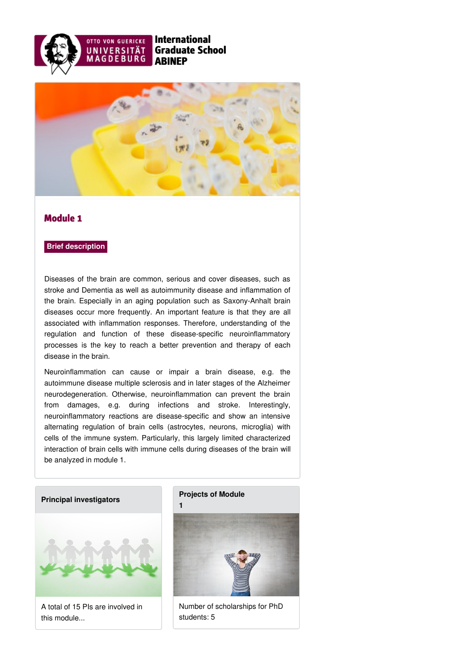



## Module 1

## **Brief description**

Diseases of the brain are common, serious and cover diseases, such as stroke and Dementia as well as autoimmunity disease and inflammation of the brain. Especially in an aging population such as Saxony-Anhalt brain diseases occur more frequently. An important feature is that they are all associated with inflammation responses. Therefore, understanding of the regulation and function of these disease-specific neuroinflammatory processes is the key to reach a better prevention and therapy of each disease in the brain.

Neuroinflammation can cause or impair a brain disease, e.g. the autoimmune disease multiple sclerosis and in later stages of the Alzheimer neurodegeneration. Otherwise, neuroinflammation can prevent the brain from damages, e.g. during infections and stroke. Interestingly, neuroinflammatory reactions are disease-specific and show an intensive alternating regulation of brain cells (astrocytes, neurons, microglia) with cells of the immune system. Particularly, this largely limited characterized interaction of brain cells with immune cells during diseases of the brain will be analyzed in module 1.

## **Principal [investigators](https://www.abinep.ovgu.de/Module+1/Principal+investigators.html)**



A total of 15 PIs are involved in this module...

## **[Projects](https://www.abinep.ovgu.de/Module+1/Projects+of+Module+1.html) of Module**



Number of scholarships for PhD students: 5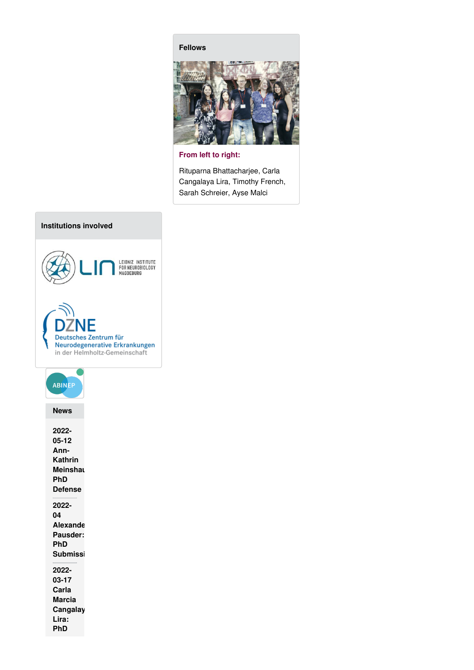**[Fellows](https://www.abinep.ovgu.de/Module+1/Fellows.html)**



**From left to right:**

Rituparna Bhattacharjee, Carla Cangalaya Lira, Timothy French, Sarah Schreier, Ayse Malci